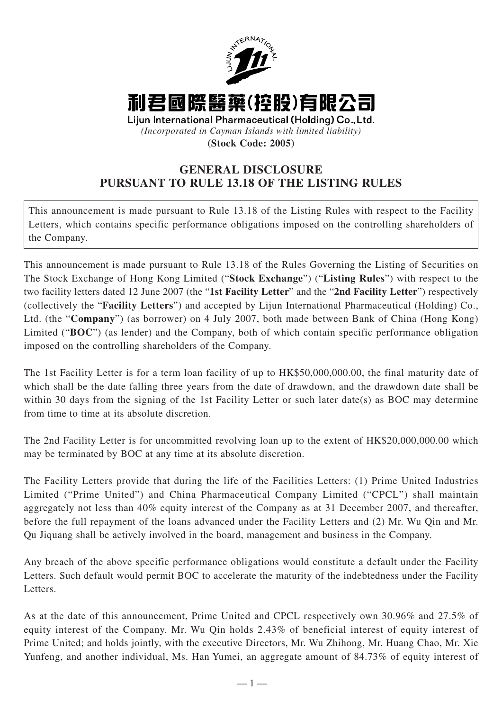

**(Stock Code: 2005)**

## **GENERAL DISCLOSURE PURSUANT TO RULE 13.18 OF THE LISTING RULES**

This announcement is made pursuant to Rule 13.18 of the Listing Rules with respect to the Facility Letters, which contains specific performance obligations imposed on the controlling shareholders of the Company.

This announcement is made pursuant to Rule 13.18 of the Rules Governing the Listing of Securities on The Stock Exchange of Hong Kong Limited ("**Stock Exchange**") ("**Listing Rules**") with respect to the two facility letters dated 12 June 2007 (the "**1st Facility Letter**" and the "**2nd Facility Letter**") respectively (collectively the "**Facility Letters**") and accepted by Lijun International Pharmaceutical (Holding) Co., Ltd. (the "**Company**") (as borrower) on 4 July 2007, both made between Bank of China (Hong Kong) Limited ("**BOC**") (as lender) and the Company, both of which contain specific performance obligation imposed on the controlling shareholders of the Company.

The 1st Facility Letter is for a term loan facility of up to HK\$50,000,000.00, the final maturity date of which shall be the date falling three years from the date of drawdown, and the drawdown date shall be within 30 days from the signing of the 1st Facility Letter or such later date(s) as BOC may determine from time to time at its absolute discretion.

The 2nd Facility Letter is for uncommitted revolving loan up to the extent of HK\$20,000,000.00 which may be terminated by BOC at any time at its absolute discretion.

The Facility Letters provide that during the life of the Facilities Letters: (1) Prime United Industries Limited ("Prime United") and China Pharmaceutical Company Limited ("CPCL") shall maintain aggregately not less than 40% equity interest of the Company as at 31 December 2007, and thereafter, before the full repayment of the loans advanced under the Facility Letters and (2) Mr. Wu Qin and Mr. Qu Jiquang shall be actively involved in the board, management and business in the Company.

Any breach of the above specific performance obligations would constitute a default under the Facility Letters. Such default would permit BOC to accelerate the maturity of the indebtedness under the Facility Letters.

As at the date of this announcement, Prime United and CPCL respectively own 30.96% and 27.5% of equity interest of the Company. Mr. Wu Qin holds 2.43% of beneficial interest of equity interest of Prime United; and holds jointly, with the executive Directors, Mr. Wu Zhihong, Mr. Huang Chao, Mr. Xie Yunfeng, and another individual, Ms. Han Yumei, an aggregate amount of 84.73% of equity interest of